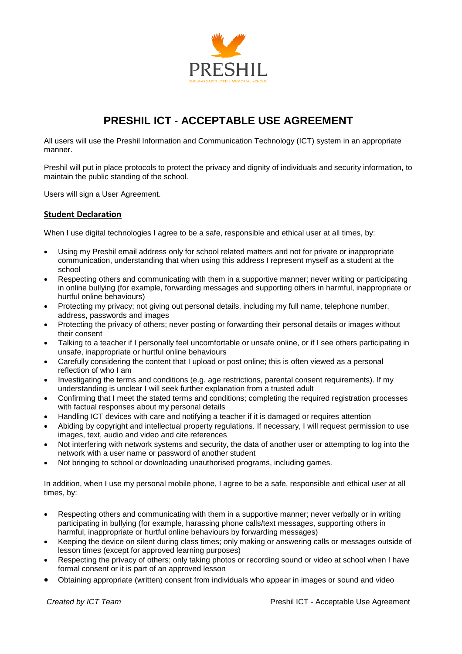

## **PRESHIL ICT - ACCEPTABLE USE AGREEMENT**

All users will use the Preshil Information and Communication Technology (ICT) system in an appropriate manner.

Preshil will put in place protocols to protect the privacy and dignity of individuals and security information, to maintain the public standing of the school.

Users will sign a User Agreement.

## **Student Declaration**

When I use digital technologies I agree to be a safe, responsible and ethical user at all times, by:

- Using my Preshil email address only for school related matters and not for private or inappropriate communication, understanding that when using this address I represent myself as a student at the school
- Respecting others and communicating with them in a supportive manner; never writing or participating in online bullying (for example, forwarding messages and supporting others in harmful, inappropriate or hurtful online behaviours)
- Protecting my privacy; not giving out personal details, including my full name, telephone number, address, passwords and images
- Protecting the privacy of others; never posting or forwarding their personal details or images without their consent
- Talking to a teacher if I personally feel uncomfortable or unsafe online, or if I see others participating in unsafe, inappropriate or hurtful online behaviours
- Carefully considering the content that I upload or post online; this is often viewed as a personal reflection of who I am
- Investigating the terms and conditions (e.g. age restrictions, parental consent requirements). If my understanding is unclear I will seek further explanation from a trusted adult
- Confirming that I meet the stated terms and conditions; completing the required registration processes with factual responses about my personal details
- Handling ICT devices with care and notifying a teacher if it is damaged or requires attention
- Abiding by copyright and intellectual property regulations. If necessary, I will request permission to use images, text, audio and video and cite references
- Not interfering with network systems and security, the data of another user or attempting to log into the network with a user name or password of another student
- Not bringing to school or downloading unauthorised programs, including games.

In addition, when I use my personal mobile phone, I agree to be a safe, responsible and ethical user at all times, by:

- Respecting others and communicating with them in a supportive manner; never verbally or in writing participating in bullying (for example, harassing phone calls/text messages, supporting others in harmful, inappropriate or hurtful online behaviours by forwarding messages)
- Keeping the device on silent during class times; only making or answering calls or messages outside of lesson times (except for approved learning purposes)
- Respecting the privacy of others; only taking photos or recording sound or video at school when I have formal consent or it is part of an approved lesson
- Obtaining appropriate (written) consent from individuals who appear in images or sound and video